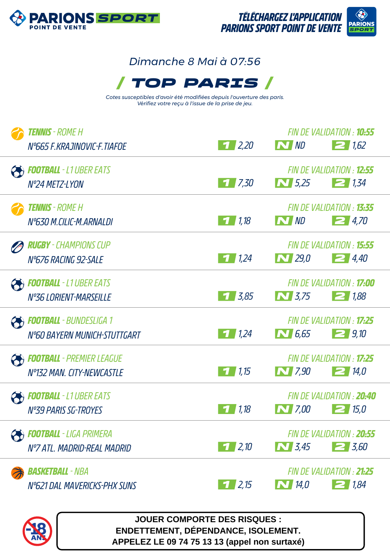

## *Dimanche 8 Mai à 07:56*



*Cotes susceptibles d'avoir été modifiées depuis l'ouverture des paris. Vérifiez votre reçu à l'issue de la prise de jeu.*

| <b>TENNIS</b> - ROME H<br>N°665 F.KRAJINOVIC-F.TIAFOE          | 1/2,20             | N ND                                                                 | FIN DE VALIDATION : <b>10:55</b><br>$\geq$ 1,62 |
|----------------------------------------------------------------|--------------------|----------------------------------------------------------------------|-------------------------------------------------|
| <b>POOTBALL</b> - L1 UBER EATS<br>Nº24 METZ-LYON               | 17,30              | $\begin{array}{ c c }\hline \textbf{N} & 5.25 \\ \hline \end{array}$ | FIN DE VALIDATION : 12:55<br>21.34              |
| <b>TENNIS</b> - ROME H<br>N°630 M.CILIC-M.ARNALDI              | 71,18              | N ND                                                                 | FIN DE VALIDATION : 13:35<br>24,70              |
| <b>RUGBY</b> - CHAMPIONS CUP<br>N°676 RACING 92-SALE           | $\frac{1}{2}$ 1,24 | $\bf N$ 29,0                                                         | FIN DE VALIDATION : <b>15:55</b><br>$\geq$ 4,40 |
| <b>FOOTBALL</b> - L1 UBER EATS<br>Nº36 LORIENT-MARSEILLE       | $7 \, 3.85$        | $N$ 3.75                                                             | FIN DE VALIDATION : <b>17:00</b><br>$\geq$ 1,88 |
| <b>Football</b> - Bundesliga 1<br>N°60 BAYERN MUNICH-STUTTGART | $\frac{1}{2}$ 1,24 | $\bf N$ 6,65                                                         | FIN DE VALIDATION : <b>17:25</b><br>29,10       |
| <b>FOOTBALL</b> - PREMIER LEAGUE<br>Nº132 MAN. CITY-NEWCASTLE  | 1,15               | $\bf N$ 7,90                                                         | FIN DE VALIDATION : 17:25<br>214,0              |
| <b>FOOTBALL</b> - L1 UBER EATS<br><b>N°39 PARIS SG-TROYES</b>  | 1,18               | $\bf N$ 7,00                                                         | FIN DE VALIDATION : 20:40<br>215.0              |
| <b>FOOTBALL</b> - LIGA PRIMERA<br>Nº7 ATL, MADRID-REAL MADRID  | $1 \, 2.10$        | $\sum$ 3.45                                                          | FIN DE VALIDATION : 20:55<br>$2\frac{1}{5}$ ,60 |
| <b>BasketBall</b> - NBA<br>N°621 DAL MAVERICKS-PHX SUNS        | 1/2,15             | $\sum$ 14,0                                                          | FIN DE VALIDATION : 21:25<br>21.84              |



**JOUER COMPORTE DES RISQUES : ENDETTEMENT, DÉPENDANCE, ISOLEMENT. APPELEZ LE 09 74 75 13 13 (appel non surtaxé)**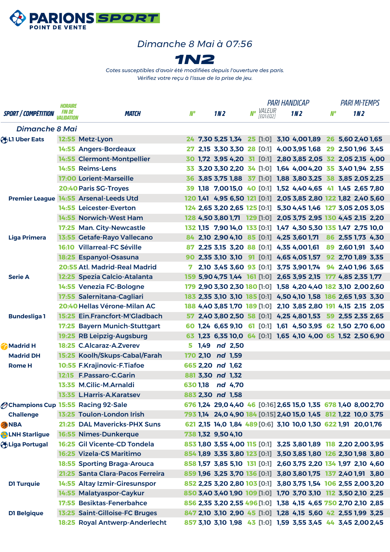

## *Dimanche 8 Mai à 07:56*



*Cotes susceptibles d'avoir été modifiées depuis l'ouverture des paris. Vérifiez votre reçu à l'issue de la prise de jeu.*

|                                            | <b>HORAIRE</b>                     |                                        |     |                    |                 |                  | <b>PARI HANDICAP</b> |                        |  |                                                                 |    | <b>PARI MI-TEMPS</b> |                 |  |
|--------------------------------------------|------------------------------------|----------------------------------------|-----|--------------------|-----------------|------------------|----------------------|------------------------|--|-----------------------------------------------------------------|----|----------------------|-----------------|--|
| <b>SPORT / COMPÉTITION</b>                 | <i>FIN DE</i><br><i>VALIDATION</i> | <b>MATCH</b>                           | N°  |                    | 1N <sub>2</sub> |                  |                      | No VALEUR<br>FEQ1:EQ21 |  | 1N <sub>2</sub>                                                 | N° |                      | 1N <sub>2</sub> |  |
| <b>Dimanche 8 Mai</b>                      |                                    |                                        |     |                    |                 |                  |                      |                        |  |                                                                 |    |                      |                 |  |
| <b>OBLI Uber Eats</b>                      |                                    | 12:55 Metz-Lyon                        |     |                    |                 |                  |                      |                        |  | 24 7,30 5,25 1,34 25 [1:0] 3,10 4,001,89 26 5,60 2,40 1,65      |    |                      |                 |  |
|                                            |                                    | 14:55 Angers-Bordeaux                  |     |                    |                 |                  |                      |                        |  | 2,15 3,30 3,30 28 [0:1] 4,00 3,95 1,68 29 2,50 1,96 3,45        |    |                      |                 |  |
|                                            |                                    | 14:55 Clermont-Montpellier             |     |                    |                 |                  |                      |                        |  | 30 1,72 3,95 4,20 31 [0:1] 2,80 3,85 2,05 32 2,05 2,15 4,00     |    |                      |                 |  |
|                                            |                                    | 14:55 Reims-Lens                       |     |                    |                 |                  |                      |                        |  | 33 3,20 3,30 2,20 34 [1:0] 1,64 4,00 4,20 35 3,40 1,94 2,55     |    |                      |                 |  |
|                                            |                                    | <b>17:00 Lorient-Marseille</b>         |     |                    |                 |                  |                      |                        |  | 36 3,85 3,75 1,88 37 [1:0] 1,88 3,80 3,25 38 3,85 2,05 2,25     |    |                      |                 |  |
|                                            |                                    | 20:40 Paris SG-Troyes                  |     |                    |                 |                  |                      |                        |  | 39 1,18 7,0015,0 40 [0:1] 1,52 4,40 4,65 41 1,45 2,65 7,80      |    |                      |                 |  |
|                                            |                                    | Premier League 14:55 Arsenal-Leeds Utd |     |                    |                 |                  |                      |                        |  | 120 1,41 4,95 6,50 121 [0:1] 2,05 3,85 2,80 122 1,82 2,40 5,60  |    |                      |                 |  |
|                                            |                                    | 14:55 Leicester-Everton                |     |                    |                 |                  |                      |                        |  | 124 2,65 3,20 2,65 125 [0:1] 5,30 4,45 1,46 127 3,05 2,05 3,05  |    |                      |                 |  |
|                                            |                                    | 14:55 Norwich-West Ham                 |     |                    |                 |                  |                      |                        |  | 128 4,50 3,80 1,71 129 [1:0] 2,05 3,75 2,95 130 4,45 2,15 2,20  |    |                      |                 |  |
|                                            |                                    | 17:25 Man. City-Newcastle              |     |                    |                 |                  |                      |                        |  | 132 1,15 7,90 14,0 133 [0:1] 1,47 4,30 5,30 135 1,47 2,75 10,0  |    |                      |                 |  |
| <b>Liga Primera</b>                        |                                    | 13:55 Getafe-Rayo Vallecano            |     |                    |                 |                  |                      |                        |  | 84 2,10 2,90 4,10 85 [0:1] 4,25 3,60 1,71 86 2,55 1,73 4,30     |    |                      |                 |  |
|                                            |                                    | <b>16:10 Villarreal-FC Séville</b>     | 87. |                    |                 |                  |                      |                        |  | 2,25 3,15 3,20 88 [0:1] 4,35 4,001,61 89 2,601,91 3,40          |    |                      |                 |  |
|                                            |                                    | 18:25 Espanyol-Osasuna                 |     |                    |                 |                  |                      |                        |  | 90 2,35 3,10 3,10 91 [0:1] 4,65 4,05 1,57 92 2,70 1,89 3,35     |    |                      |                 |  |
|                                            |                                    | 20:55 Atl. Madrid-Real Madrid          | 7   |                    |                 |                  |                      |                        |  | 2,10 3,45 3,60 93 [0:1] 3,75 3,90 1,74 94 2,40 1,96 3,65        |    |                      |                 |  |
| <b>Serie A</b>                             |                                    | 12:25 Spezia Calcio-Atalanta           |     |                    |                 |                  |                      |                        |  | 159 5,90 4,75 1,44 161 [1:0] 2,65 3,95 2,15 177 4,85 2,35 1,77  |    |                      |                 |  |
|                                            |                                    | 14:55 Venezia FC-Bologne               |     |                    |                 |                  |                      |                        |  | 179 2,90 3,30 2,30 180 [1:0] 1,58 4,20 4,40 182 3,10 2,00 2,60  |    |                      |                 |  |
|                                            |                                    | 17:55 Salernitana-Cagliari             |     |                    |                 |                  |                      |                        |  | 183 2,35 3,10 3,10 185 [0:1] 4,50 4,10 1,58 186 2,65 1,93 3,30  |    |                      |                 |  |
|                                            |                                    | 20:40 Hellas Vérone-Milan AC           |     |                    |                 |                  |                      |                        |  | 188 4,40 3,85 1,70 189 [1:0] 2,10 3,85 2,80 191 4,15 2,15 2,05  |    |                      |                 |  |
| <b>Bundesliga1</b>                         |                                    | 15:25 Ein.Francfort-M'Gladbach         |     |                    |                 |                  |                      |                        |  | 57 2,40 3,80 2,50 58 [0:1] 4,25 4,80 1,53 59 2,55 2,35 2,65     |    |                      |                 |  |
|                                            |                                    | 17:25 Bayern Munich-Stuttgart          |     |                    |                 |                  |                      |                        |  | 60 1,24 6,65 9,10 61 [0:1] 1,61 4,50 3,95 62 1,50 2,70 6,00     |    |                      |                 |  |
|                                            |                                    | 19:25 RB Leipzig-Augsburg              |     |                    |                 |                  |                      |                        |  | 63 1,23 6,35 10,0 64 [0:1] 1,65 4,10 4,00 65 1,52 2,50 6,90     |    |                      |                 |  |
| Madrid H                                   |                                    | 18:25 C.Alcaraz-A.Zverev               |     |                    |                 | 5 1,49 nd 2,50   |                      |                        |  |                                                                 |    |                      |                 |  |
| <b>Madrid DH</b>                           |                                    | 15:25 Koolh/Skups-Cabal/Farah          |     | 170 2,10 nd 1,59   |                 |                  |                      |                        |  |                                                                 |    |                      |                 |  |
| <b>Rome H</b>                              |                                    | 10:55 F.Krajinovic-F.Tiafoe            |     | 665 2,20 nd 1,62   |                 |                  |                      |                        |  |                                                                 |    |                      |                 |  |
|                                            |                                    | 12:15 F.Passaro-C.Garin                |     | 881 3,30 nd 1,32   |                 |                  |                      |                        |  |                                                                 |    |                      |                 |  |
|                                            |                                    | 13:35 M.Cilic-M.Arnaldi                |     |                    |                 | 630 1,18 nd 4,70 |                      |                        |  |                                                                 |    |                      |                 |  |
|                                            |                                    | 13:35 L.Harris-A.Karatsev              |     | 883 2,30 nd 1,58   |                 |                  |                      |                        |  |                                                                 |    |                      |                 |  |
| <b>Ochampions Cup 15:55 Racing 92-Sale</b> |                                    |                                        |     |                    |                 |                  |                      |                        |  | 676 1,24 29,0 4,40 46 [0:16] 2,65 15,0 1,35 678 1,40 8,002,70   |    |                      |                 |  |
| <b>Challenge</b>                           |                                    | 13:25 Toulon-London Irish              |     |                    |                 |                  |                      |                        |  | 793 1,14 24,0 4,90 184 [0:15] 2,40 15,0 1,45 812 1,22 10,0 3,75 |    |                      |                 |  |
| <b>ANBA</b>                                |                                    | 21:25 DAL Mavericks-PHX Suns           |     |                    |                 |                  |                      |                        |  | 621 2,15 14,0 1,84 489 [0:6] 3,10 10,0 1,30 622 1,91 20,01,76   |    |                      |                 |  |
| <b>ALNH Starligue</b>                      |                                    | 16:55 Nimes-Dunkerque                  |     | 738 1,32 9,50 4,10 |                 |                  |                      |                        |  |                                                                 |    |                      |                 |  |
| Higa Portugal                              |                                    | 16:25 Gil Vicente-CD Tondela           |     |                    |                 |                  |                      |                        |  | 853 1,80 3,55 4,00 115 [0:1] 3,25 3,80 1,89 118 2,20 2,00 3,95  |    |                      |                 |  |
|                                            |                                    | 16:25 Vizela-CS Maritimo               |     |                    |                 |                  |                      |                        |  | 854 1,89 3,35 3,80 123 [0:1] 3,50 3,85 1,80 126 2,30 1,98 3,80  |    |                      |                 |  |
|                                            |                                    | <b>18:55 Sporting Braga-Arouca</b>     |     |                    |                 |                  |                      |                        |  | 858 1,57 3,85 5,10 131 [0:1] 2,60 3,75 2,20 134 1,97 2,10 4,60  |    |                      |                 |  |
|                                            |                                    | 21:25 Santa Clara-Pacos Ferreira       |     |                    |                 |                  |                      |                        |  | 859 1,96 3,25 3,70 136 [0:1] 3,80 3,80 1,75 137 2,40 1,91 3,80  |    |                      |                 |  |
| <b>D1 Turquie</b>                          |                                    | 14:55 Altay Izmir-Giresunspor          |     |                    |                 |                  |                      |                        |  | 852 2,25 3,20 2,80 103 [0:1] 3,80 3,75 1,54 106 2,55 2,00 3,20  |    |                      |                 |  |
|                                            |                                    | 14:55 Malatyaspor-Caykur               |     |                    |                 |                  |                      |                        |  | 850 3,40 3,40 1,90 109 [1:0] 1,70 3,70 3,10 112 3,50 2,10 2,25  |    |                      |                 |  |
|                                            |                                    | 17:55 Besiktas-Fenerbahce              |     |                    |                 |                  |                      |                        |  | 856 2,35 3,20 2,55 496 [1:0] 1,38 4,15 4,65 750 2,70 2,10 2,85  |    |                      |                 |  |
| <b>D1 Belgique</b>                         |                                    | 13:25 Saint-Gilloise-FC Bruges         |     |                    |                 |                  |                      |                        |  | 847 2,10 3,10 2,90 45 [1:0] 1,28 4,15 5,60 42 2,55 1,99 3,25    |    |                      |                 |  |
|                                            |                                    | 18:25 Royal Antwerp-Anderlecht         |     |                    |                 |                  |                      |                        |  | 857 3,10 3,10 1,98 43 [1:0] 1,59 3,55 3,45 44 3,45 2,00 2,45    |    |                      |                 |  |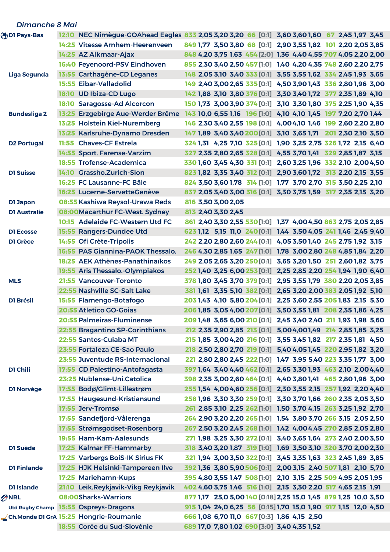| <b>Dimanche 8 Mai</b> |                                        |                                             |                                                                                               |
|-----------------------|----------------------------------------|---------------------------------------------|-----------------------------------------------------------------------------------------------|
| <b>ODI Pays-Bas</b>   |                                        |                                             | 12:10 NEC Nimègue-GOAhead Eagles 833 2,05 3,20 3,20 66 [0:1] 3,60 3,60 1,60 67 2,45 1,97 3,45 |
|                       | 14:25 Vitesse Arnhem-Heerenveen        |                                             | 849 1,77 3,50 3,80 68 [0:1] 2,90 3,55 1,82 101 2,20 2,05 3,85                                 |
|                       | 14:25 AZ Alkmaar-Ajax                  |                                             | 848 4,20 3,75 1,63 454 [2:0] 1,36 4,40 4,55 707 4,05 2,20 2,00                                |
|                       | 16:40 Feyenoord-PSV Eindhoven          |                                             | 855 2,30 3,40 2,50 457 [1:0] 1,40 4,20 4,35 748 2,60 2,20 2,75                                |
| <b>Liga Segunda</b>   | 13:55 Carthagène-CD Leganes            |                                             | 148 2,05 3,10 3,40 333 [0:1] 3,55 3,55 1,62 334 2,45 1,93 3,65                                |
|                       | <b>15:55 Eibar-Valladolid</b>          |                                             | 149 2,40 3,00 2,65 335 [0:1] 4,50 3,90 1,43 336 2,80 1,96 3,00                                |
|                       | 18:10 UD Ibiza-CD Lugo                 |                                             | 142 1,88 3,10 3,80 376 [0:1] 3,30 3,40 1,72 377 2,35 1,89 4,10                                |
|                       | 18:10 Saragosse-Ad Alcorcon            |                                             | 150 1,73 3,00 3,90 374 [0:1] 3,10 3,30 1,80 375 2,25 1,90 4,35                                |
| <b>Bundesliga 2</b>   | 13:25 Erzgebirge Aue-Werder Brême      |                                             | 143 10,0 6,55 1,16 196 [1:0] 4,10 4,10 1,45 197 7,20 2,70 1,44                                |
|                       | 13:25 Holstein Kiel-Nuremberg          |                                             | 146 2,30 3,40 2,55 198 [0:1] 4,00 4,10 1,46 199 2,60 2,20 2,80                                |
|                       | 13:25 Karlsruhe-Dynamo Dresden         |                                             | 147 1,89 3,40 3,40 200 [0:1] 3,10 3,65 1,71 201 2,30 2,10 3,50                                |
| <b>D2 Portugal</b>    | 11:55 Chaves-CF Estrela                |                                             | 324 1,31 4,25 7,10 325 [0:1] 1,90 3,25 2,75 326 1,72 2,15 6,40                                |
|                       | 14:55 Sport. Farense-Varzim            |                                             | 327 2,35 2,80 2,65 328 [0:1] 4,55 3,70 1,41 329 2,85 1,87 3,15                                |
|                       | 18:55 Trofense-Academica               |                                             | 330 1,60 3,45 4,30 331 [0:1] 2,60 3,25 1,96 332 2,10 2,00 4,50                                |
| <b>D1 Suisse</b>      | 14:10 Grassho.Zurich-Sion              |                                             | 823 1,82 3,35 3,40 312 [0:1] 2,90 3,60 1,72 313 2,20 2,15 3,55                                |
|                       | 16:25 FC Lausanne-FC Bâle              |                                             | 824 3,50 3,60 1,78 314 [1:0] 1,77 3,70 2,70 315 3,50 2,25 2,10                                |
|                       | 16:25 Lucerne-ServetteGenève           |                                             | 837 2,05 3,40 3,00 316 [0:1] 3,30 3,75 1,59 317 2,35 2,15 3,20                                |
| <b>D1 Japon</b>       | 08:55 Kashiwa Reysol-Urawa Reds        | 816 3,50 3,00 2,05                          |                                                                                               |
| <b>D1 Australie</b>   | 08:00 Macarthur FC-West. Sydney        | 813 2,40 3,30 2,45                          |                                                                                               |
|                       | 10:15 Adelaide FC-Western Utd FC       |                                             | 861 2,40 3,30 2,55 530 [1:0] 1,37 4,00 4,50 863 2,75 2,05 2,85                                |
| <b>D1 Ecosse</b>      | 15:55 Rangers-Dundee Utd               |                                             | 623 1,12 5,15 11,0 240 [0:1] 1,44 3,50 4,05 241 1,46 2,45 9,40                                |
| <b>D1 Grèce</b>       | 14:55 Ofi Crète-Tripolis               |                                             | 242 2,20 2,80 2,60 244 [0:1] 4,05 3,50 1,40 245 2,75 1,92 3,15                                |
|                       | 16:55 PAS Giannina-PAOK Thessalo.      |                                             | 246 4,30 2,85 1,65 247 [1:0] 1,78 3,00 2,80 248 4,85 1,84 2,20                                |
|                       | 18:25 AEK Athènes-Panathinaïkos        |                                             | 249 2,05 2,65 3,20 250 [0:1] 3,65 3,20 1,50 251 2,60 1,82 3,75                                |
|                       | 19:55 Aris Thessalo.-Olympiakos        |                                             | 252 1,40 3,25 6,00 253 [0:1] 2,25 2,85 2,20 254 1,94 1,90 6,40                                |
| <b>MLS</b>            | 21:55 Vancouver-Toronto                |                                             | 378 1,80 3,45 3,70 379 [0:1] 2,95 3,55 1,79 380 2,20 2,05 3,85                                |
|                       | 22:55 Nashville SC-Salt Lake           |                                             | 381 1,61 3,35 5,10 382 [0:1] 2,65 3,20 2,00 383 2,05 1,92 5,10                                |
| <b>D1 Brésil</b>      | 15:55 Flamengo-Botafogo                |                                             | 203 1,43 4,10 5,80 204 [0:1] 2,25 3,60 2,55 205 1,83 2,15 5,30                                |
|                       | <b>20:55 Atletico GO-Goias</b>         |                                             | 206 1,85 3,05 4,00 207 [0:1] 3,50 3,55 1,81 208 2,35 1,86 4,25                                |
|                       | <b>20:55 Palmeiras-Fluminense</b>      |                                             | 209 1,48 3,65 6,00 210 [0:1] 2,45 3,40 2,40 211 1,93 1,98 5,60                                |
|                       | 22:55 Bragantino SP-Corinthians        |                                             | 212 2,35 2,90 2,85 213 [0:1] 5,004,001,49 214 2,85 1,85 3,25                                  |
|                       | 22:55 Santos-Cuiaba MT                 |                                             | 215 1,85 3,00 4,20 216 [0:1] 3,55 3,45 1,82 217 2,35 1,81 4,50                                |
|                       | 23:55 Fortaleza CE-Sao Paulo           |                                             | 218 2,50 2,80 2,70 219 [0:1] 5,40 4,05 1,45 220 2,95 1,82 3,20                                |
|                       | 23:55 Juventude RS-Internacional       |                                             | 221 2,80 2,80 2,45 222 [1:0] 1,47 3,95 5,40 223 3,35 1,77 3,00                                |
| D1 Chili              | 17:55 CD Palestino-Antofagasta         |                                             | 397 1,64 3,40 4,40 462 [0:1] 2,65 3,30 1,93 463 2,10 2,00 4,40                                |
|                       | 23:25 Nublense-Uni.Catolica            |                                             | 398 2,35 3,00 2,60 464 [0:1] 4,40 3,80 1,41 465 2,80 1,96 3,00                                |
| DI Norvège            | 17:55 Bodø/Glimt-Lillestrøm            |                                             | 255 1,54 4,00 4,60 256 [0:1] 2,30 3,55 2,15 257 1,92 2,20 4,40                                |
|                       | 17:55 Haugesund-Kristiansund           |                                             | 258 1,96 3,30 3,30 259 [0:1] 3,30 3,70 1,66 260 2,35 2,05 3,50                                |
|                       | 17:55 Jerv-Tromsø                      |                                             | 261 2,85 3,10 2,25 262 [1:0] 1,50 3,70 4,15 263 3,25 1,92 2,70                                |
|                       | 17:55 Sandefjord-Vålerenga             |                                             | 264 2,90 3,20 2,20 265 [1:0] 1,54 3,80 3,70 266 3,15 2,05 2,50                                |
|                       | 17:55 Strømsgodset-Rosenborg           |                                             | 267 2,50 3,20 2,45 268 [1:0] 1,42 4,00 4,45 270 2,85 2,05 2,80                                |
|                       | 19:55 Ham-Kam-Aalesunds                |                                             | 271 1,98 3,25 3,30 272 [0:1] 3,40 3,65 1,64 273 2,40 2,00 3,50                                |
| D1 Suède              | 17:25 Kalmar FF-Hammarby               |                                             | 318 3,40 3,20 1,87 319 [1:0] 1,69 3,50 3,10 320 3,70 2,00 2,30                                |
|                       | 17:25 Varbergs BoiS-IK Sirius FK       |                                             | 321 1,94 3,00 3,50 322 [0:1] 3,45 3,35 1,63 323 2,45 1,89 3,85                                |
| <b>D1 Finlande</b>    | 17:25 HJK Helsinki-Tampereen Ilve      |                                             | 392 1,36 3,80 5,90 506 [0:1] 2,00 3,15 2,40 507 1,81 2,10 5,70                                |
|                       | 17:25 Mariehamn-Kups                   |                                             | 395 4,80 3,55 1,47 508 [1:0] 2,10 3,15 2,25 509 4,95 2,05 1,95                                |
| D1 Islande            | 21:10 Leik.Reykjavik-Vikg Reykjavik    |                                             | 402 4,60 3,75 1,46 516 [1:0] 2,15 3,30 2,20 517 4,65 2,15 1,91                                |
| ONRL                  | 08:00Sharks-Warriors                   |                                             | 877 1,17 25,0 5,00 140 [0:18] 2,25 15,0 1,45 879 1,25 10,0 3,50                               |
|                       | Utd Rugby Champ 15:55 Ospreys-Dragons  |                                             | 915 1,04 24,0 6,25 56 [0:15] 1,70 15,0 1,90 917 1,15 12,0 4,50                                |
|                       | Ch.Monde D1 GrA 15:25 Hongrie-Roumanie | 666 1,08 6,70 11,0 667 [0:3] 1,86 4,15 2,50 |                                                                                               |
|                       | 18:55 Corée du Sud-Slovénie            | 689 17,0 7,80 1,02 690 [3:0] 3,40 4,35 1,52 |                                                                                               |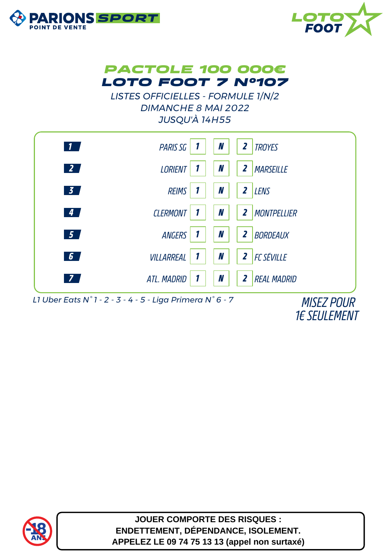





**LISTES OFFICIELLES - FORMULE 1/N/2 DIMANCHE 8 MAI 2022 JUSQU'À 14H55** 



L1 Uber Eats N°1 - 2 - 3 - 4 - 5 - Liga Primera N°6 - 7

**MISEZ POUR 1E SEULEMENT** 



**JOUER COMPORTE DES RISQUES :** ENDETTEMENT, DÉPENDANCE, ISOLEMENT. APPELEZ LE 09 74 75 13 13 (appel non surtaxé)